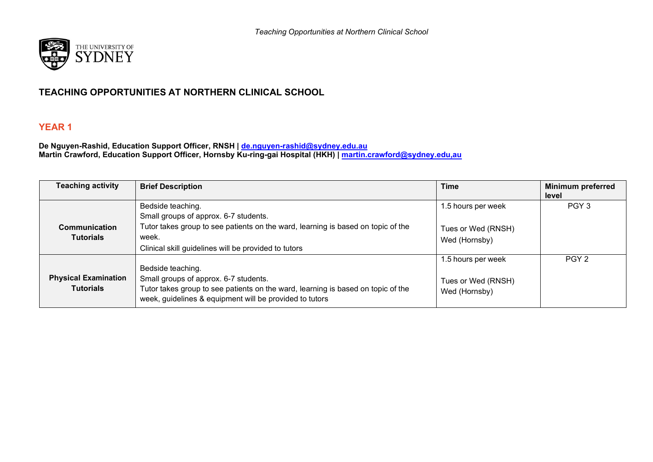

## **TEACHING OPPORTUNITIES AT NORTHERN CLINICAL SCHOOL**

## **YEAR 1**

**De Nguyen-Rashid, Education Support Officer, RNSH | [de.nguyen-rashid@sydney.edu.au](mailto:de.nguyen-rashid@sydney.edu.au) Martin Crawford, Education Support Officer, Hornsby Ku-ring-gai Hospital (HKH) | [martin.crawford@sydney.edu,au](mailto:martin.crawford@sydney.edu,au)**

| <b>Teaching activity</b>                        | <b>Brief Description</b>                                                                                                                                                                                  | <b>Time</b>                                               | <b>Minimum preferred</b><br>level |
|-------------------------------------------------|-----------------------------------------------------------------------------------------------------------------------------------------------------------------------------------------------------------|-----------------------------------------------------------|-----------------------------------|
|                                                 | Bedside teaching.<br>Small groups of approx. 6-7 students.                                                                                                                                                | 1.5 hours per week                                        | PGY <sub>3</sub>                  |
| Communication<br><b>Tutorials</b>               | Tutor takes group to see patients on the ward, learning is based on topic of the<br>week.<br>Clinical skill guidelines will be provided to tutors                                                         | Tues or Wed (RNSH)<br>Wed (Hornsby)                       |                                   |
| <b>Physical Examination</b><br><b>Tutorials</b> | Bedside teaching.<br>Small groups of approx. 6-7 students.<br>Tutor takes group to see patients on the ward, learning is based on topic of the<br>week, guidelines & equipment will be provided to tutors | 1.5 hours per week<br>Tues or Wed (RNSH)<br>Wed (Hornsby) | PGY <sub>2</sub>                  |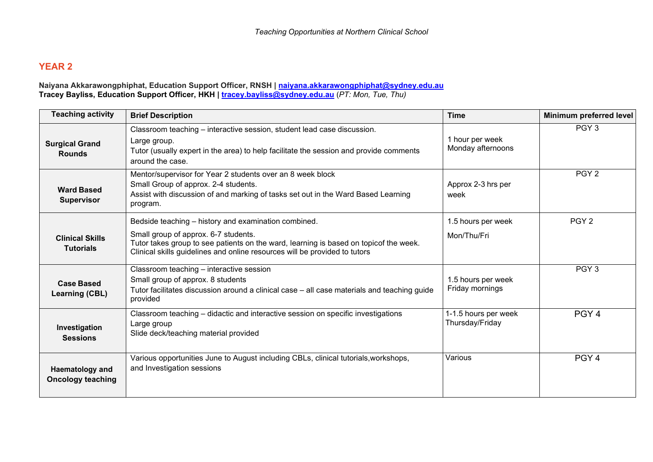## **YEAR 2**

#### **Naiyana Akkarawongphiphat, Education Support Officer, RNSH | [naiyana.akkarawongphiphat@sydney.edu.au](mailto:naiyana.akkarawongphiphat@sydney.edu.au) Tracey Bayliss, Education Support Officer, HKH | [tracey.bayliss@sydney.edu.au](mailto:tracey.bayliss@sydney.edu.au)** (*PT: Mon, Tue, Thu)*

| <b>Teaching activity</b>                    | <b>Brief Description</b>                                                                                                                                                                                                                                            | <b>Time</b>                             | Minimum preferred level |
|---------------------------------------------|---------------------------------------------------------------------------------------------------------------------------------------------------------------------------------------------------------------------------------------------------------------------|-----------------------------------------|-------------------------|
| <b>Surgical Grand</b><br><b>Rounds</b>      | Classroom teaching - interactive session, student lead case discussion.<br>Large group.<br>Tutor (usually expert in the area) to help facilitate the session and provide comments<br>around the case.                                                               | 1 hour per week<br>Monday afternoons    | PGY <sub>3</sub>        |
| <b>Ward Based</b><br><b>Supervisor</b>      | Mentor/supervisor for Year 2 students over an 8 week block<br>Small Group of approx. 2-4 students.<br>Assist with discussion of and marking of tasks set out in the Ward Based Learning<br>program.                                                                 | Approx 2-3 hrs per<br>week              | PGY <sub>2</sub>        |
| <b>Clinical Skills</b><br><b>Tutorials</b>  | Bedside teaching - history and examination combined.<br>Small group of approx. 6-7 students.<br>Tutor takes group to see patients on the ward, learning is based on topicof the week.<br>Clinical skills guidelines and online resources will be provided to tutors | 1.5 hours per week<br>Mon/Thu/Fri       | PGY <sub>2</sub>        |
| <b>Case Based</b><br><b>Learning (CBL)</b>  | Classroom teaching - interactive session<br>Small group of approx. 8 students<br>Tutor facilitates discussion around a clinical case - all case materials and teaching guide<br>provided                                                                            | 1.5 hours per week<br>Friday mornings   | PGY <sub>3</sub>        |
| Investigation<br><b>Sessions</b>            | Classroom teaching - didactic and interactive session on specific investigations<br>Large group<br>Slide deck/teaching material provided                                                                                                                            | 1-1.5 hours per week<br>Thursday/Friday | PGY <sub>4</sub>        |
| Haematology and<br><b>Oncology teaching</b> | Various opportunities June to August including CBLs, clinical tutorials, workshops,<br>and Investigation sessions                                                                                                                                                   | Various                                 | PGY <sub>4</sub>        |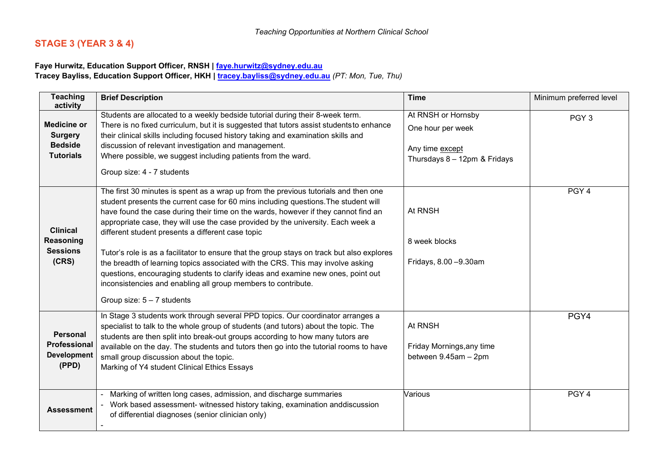# **STAGE 3 (YEAR 3 & 4)**

### **Faye Hurwitz, Education Support Officer, RNSH | [faye.hurwitz@sydney.edu.au](mailto:faye.hurwitz@sydney.edu.au)**

**Tracey Bayliss, Education Support Officer, HKH | [tracey.bayliss@sydney.edu.au](mailto:tracey.bayliss@sydney.edu.au)** *(PT: Mon, Tue, Thu)*

| <b>Teaching</b><br>activity                                                | <b>Brief Description</b>                                                                                                                                                                                                                                                                                                                                                                                                                                                                                                                                                                                                                                                                                                                                                        | <b>Time</b>                                                                                   | Minimum preferred level |
|----------------------------------------------------------------------------|---------------------------------------------------------------------------------------------------------------------------------------------------------------------------------------------------------------------------------------------------------------------------------------------------------------------------------------------------------------------------------------------------------------------------------------------------------------------------------------------------------------------------------------------------------------------------------------------------------------------------------------------------------------------------------------------------------------------------------------------------------------------------------|-----------------------------------------------------------------------------------------------|-------------------------|
| <b>Medicine or</b><br><b>Surgery</b><br><b>Bedside</b><br><b>Tutorials</b> | Students are allocated to a weekly bedside tutorial during their 8-week term.<br>There is no fixed curriculum, but it is suggested that tutors assist students to enhance<br>their clinical skills including focused history taking and examination skills and<br>discussion of relevant investigation and management.<br>Where possible, we suggest including patients from the ward.<br>Group size: 4 - 7 students                                                                                                                                                                                                                                                                                                                                                            | At RNSH or Hornsby<br>One hour per week<br>Any time except<br>Thursdays $8 - 12$ pm & Fridays | PGY <sub>3</sub>        |
| <b>Clinical</b><br>Reasoning<br><b>Sessions</b><br>(CRS)                   | The first 30 minutes is spent as a wrap up from the previous tutorials and then one<br>student presents the current case for 60 mins including questions. The student will<br>have found the case during their time on the wards, however if they cannot find an<br>appropriate case, they will use the case provided by the university. Each week a<br>different student presents a different case topic<br>Tutor's role is as a facilitator to ensure that the group stays on track but also explores<br>the breadth of learning topics associated with the CRS. This may involve asking<br>questions, encouraging students to clarify ideas and examine new ones, point out<br>inconsistencies and enabling all group members to contribute.<br>Group size: $5 - 7$ students | At RNSH<br>8 week blocks<br>Fridays, 8.00 - 9.30am                                            | PGY <sub>4</sub>        |
| <b>Personal</b><br>Professional<br><b>Development</b><br>(PPD)             | In Stage 3 students work through several PPD topics. Our coordinator arranges a<br>specialist to talk to the whole group of students (and tutors) about the topic. The<br>students are then split into break-out groups according to how many tutors are<br>available on the day. The students and tutors then go into the tutorial rooms to have<br>small group discussion about the topic.<br>Marking of Y4 student Clinical Ethics Essays                                                                                                                                                                                                                                                                                                                                    | At RNSH<br>Friday Mornings, any time<br>between 9.45am - 2pm                                  | PGY4                    |
| <b>Assessment</b>                                                          | Marking of written long cases, admission, and discharge summaries<br>Work based assessment- witnessed history taking, examination anddiscussion<br>of differential diagnoses (senior clinician only)                                                                                                                                                                                                                                                                                                                                                                                                                                                                                                                                                                            | Various                                                                                       | PGY <sub>4</sub>        |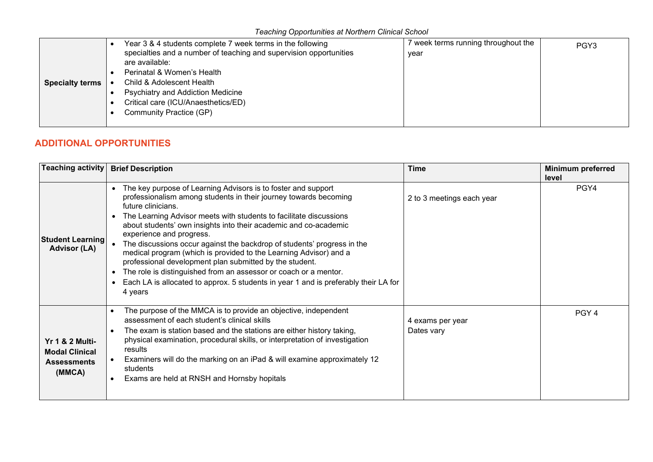|                        | Year 3 & 4 students complete 7 week terms in the following         | week terms running throughout the | PGY <sub>3</sub> |
|------------------------|--------------------------------------------------------------------|-----------------------------------|------------------|
|                        | specialties and a number of teaching and supervision opportunities | year                              |                  |
|                        | are available:                                                     |                                   |                  |
|                        | Perinatal & Women's Health                                         |                                   |                  |
| <b>Specialty terms</b> | Child & Adolescent Health                                          |                                   |                  |
|                        | Psychiatry and Addiction Medicine                                  |                                   |                  |
|                        | Critical care (ICU/Anaesthetics/ED)                                |                                   |                  |
|                        | Community Practice (GP)                                            |                                   |                  |
|                        |                                                                    |                                   |                  |

# **ADDITIONAL OPPORTUNITIES**

| Teaching activity                                                                   | <b>Brief Description</b>                                                                                                                                                                                                                                                                                                                                                                                                                                                                                                                                                                                                                                                                                       | <b>Time</b>                    | <b>Minimum preferred</b><br>level |
|-------------------------------------------------------------------------------------|----------------------------------------------------------------------------------------------------------------------------------------------------------------------------------------------------------------------------------------------------------------------------------------------------------------------------------------------------------------------------------------------------------------------------------------------------------------------------------------------------------------------------------------------------------------------------------------------------------------------------------------------------------------------------------------------------------------|--------------------------------|-----------------------------------|
| <b>Student Learning</b><br><b>Advisor (LA)</b>                                      | The key purpose of Learning Advisors is to foster and support<br>professionalism among students in their journey towards becoming<br>future clinicians.<br>The Learning Advisor meets with students to facilitate discussions<br>about students' own insights into their academic and co-academic<br>experience and progress.<br>The discussions occur against the backdrop of students' progress in the<br>medical program (which is provided to the Learning Advisor) and a<br>professional development plan submitted by the student.<br>The role is distinguished from an assessor or coach or a mentor.<br>Each LA is allocated to approx. 5 students in year 1 and is preferably their LA for<br>4 years | 2 to 3 meetings each year      | PGY4                              |
| <b>Yr 1 &amp; 2 Multi-</b><br><b>Modal Clinical</b><br><b>Assessments</b><br>(MMCA) | The purpose of the MMCA is to provide an objective, independent<br>$\bullet$<br>assessment of each student's clinical skills<br>The exam is station based and the stations are either history taking,<br>$\bullet$<br>physical examination, procedural skills, or interpretation of investigation<br>results<br>Examiners will do the marking on an iPad & will examine approximately 12<br>students<br>Exams are held at RNSH and Hornsby hopitals                                                                                                                                                                                                                                                            | 4 exams per year<br>Dates vary | PGY <sub>4</sub>                  |